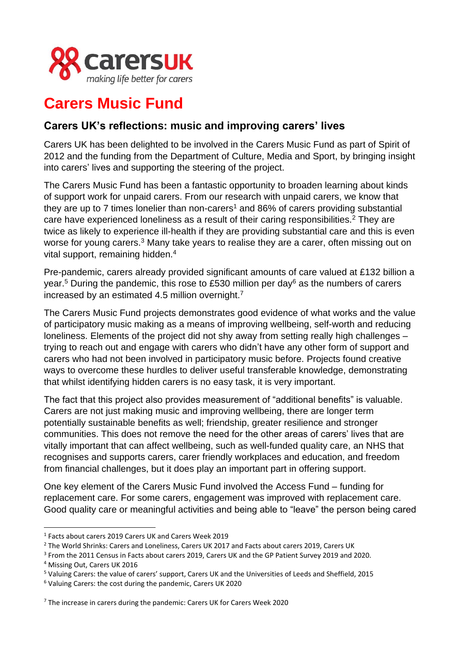

## **Carers Music Fund**

## **Carers UK's reflections: music and improving carers' lives**

Carers UK has been delighted to be involved in the Carers Music Fund as part of Spirit of 2012 and the funding from the Department of Culture, Media and Sport, by bringing insight into carers' lives and supporting the steering of the project.

The Carers Music Fund has been a fantastic opportunity to broaden learning about kinds of support work for unpaid carers. From our research with unpaid carers, we know that they are up to  $\overline{7}$  times lonelier than non-carers<sup>1</sup> and 86% of carers providing substantial care have experienced loneliness as a result of their caring responsibilities.<sup>2</sup> They are twice as likely to experience ill-health if they are providing substantial care and this is even worse for young carers.<sup>3</sup> Many take years to realise they are a carer, often missing out on vital support, remaining hidden.<sup>4</sup>

Pre-pandemic, carers already provided significant amounts of care valued at £132 billion a year.<sup>5</sup> During the pandemic, this rose to £530 million per day<sup>6</sup> as the numbers of carers increased by an estimated 4.5 million overnight.<sup>7</sup>

The Carers Music Fund projects demonstrates good evidence of what works and the value of participatory music making as a means of improving wellbeing, self-worth and reducing loneliness. Elements of the project did not shy away from setting really high challenges – trying to reach out and engage with carers who didn't have any other form of support and carers who had not been involved in participatory music before. Projects found creative ways to overcome these hurdles to deliver useful transferable knowledge, demonstrating that whilst identifying hidden carers is no easy task, it is very important.

The fact that this project also provides measurement of "additional benefits" is valuable. Carers are not just making music and improving wellbeing, there are longer term potentially sustainable benefits as well; friendship, greater resilience and stronger communities. This does not remove the need for the other areas of carers' lives that are vitally important that can affect wellbeing, such as well-funded quality care, an NHS that recognises and supports carers, carer friendly workplaces and education, and freedom from financial challenges, but it does play an important part in offering support.

One key element of the Carers Music Fund involved the Access Fund – funding for replacement care. For some carers, engagement was improved with replacement care. Good quality care or meaningful activities and being able to "leave" the person being cared

<sup>1</sup> Facts about carers 2019 Carers UK and Carers Week 2019

<sup>&</sup>lt;sup>2</sup> The World Shrinks: Carers and Loneliness, Carers UK 2017 and Facts about carers 2019, Carers UK

<sup>&</sup>lt;sup>3</sup> From the 2011 Census in Facts about carers 2019, Carers UK and the GP Patient Survey 2019 and 2020.

<sup>4</sup> Missing Out, Carers UK 2016

<sup>5</sup> Valuing Carers: the value of carers' support, Carers UK and the Universities of Leeds and Sheffield, 2015

<sup>6</sup> Valuing Carers: the cost during the pandemic, Carers UK 2020

 $7$  The increase in carers during the pandemic: Carers UK for Carers Week 2020